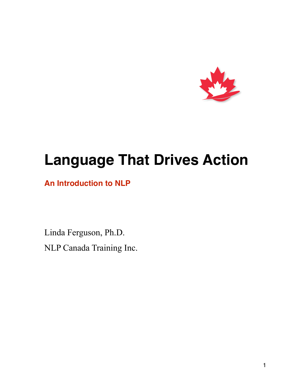

# **Language That Drives Action**

## **An Introduction to NLP**

Linda Ferguson, Ph.D. NLP Canada Training Inc.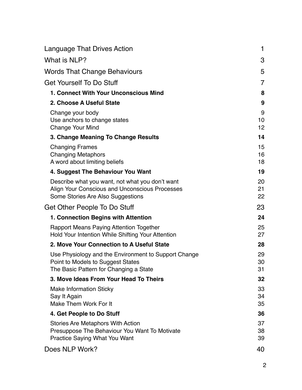| <b>Language That Drives Action</b>                                                                                                     | $\mathbf 1$    |
|----------------------------------------------------------------------------------------------------------------------------------------|----------------|
| What is NLP?                                                                                                                           | 3              |
| <b>Words That Change Behaviours</b>                                                                                                    | 5              |
| <b>Get Yourself To Do Stuff</b>                                                                                                        | 7              |
| 1. Connect With Your Unconscious Mind                                                                                                  | 8              |
| 2. Choose A Useful State                                                                                                               | 9              |
| Change your body<br>Use anchors to change states<br><b>Change Your Mind</b>                                                            | 9<br>10<br>12  |
| 3. Change Meaning To Change Results                                                                                                    | 14             |
| <b>Changing Frames</b><br><b>Changing Metaphors</b><br>A word about limiting beliefs                                                   | 15<br>16<br>18 |
| 4. Suggest The Behaviour You Want                                                                                                      | 19             |
| Describe what you want, not what you don't want<br>Align Your Conscious and Unconscious Processes<br>Some Stories Are Also Suggestions | 20<br>21<br>22 |
| Get Other People To Do Stuff                                                                                                           | 23             |
| 1. Connection Begins with Attention                                                                                                    | 24             |
| <b>Rapport Means Paying Attention Together</b><br>Hold Your Intention While Shifting Your Attention                                    | 25<br>27       |
| 2. Move Your Connection to A Useful State                                                                                              | 28             |
| Use Physiology and the Environment to Support Change<br>Point to Models to Suggest States<br>The Basic Pattern for Changing a State    | 29<br>30<br>31 |
| 3. Move Ideas From Your Head To Theirs                                                                                                 | 32             |
| <b>Make Information Sticky</b><br>Say It Again<br>Make Them Work For It                                                                | 33<br>34<br>35 |
| 4. Get People to Do Stuff                                                                                                              | 36             |
| Stories Are Metaphors With Action<br>Presuppose The Behaviour You Want To Motivate<br><b>Practice Saying What You Want</b>             | 37<br>38<br>39 |
| Does NLP Work?                                                                                                                         | 40             |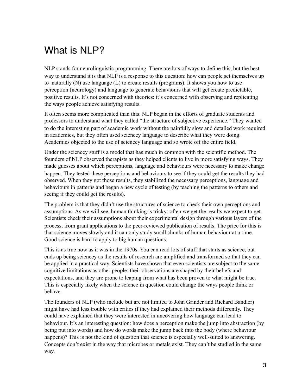# What is NLP?

NLP stands for neurolinguistic programming. There are lots of ways to define this, but the best way to understand it is that NLP is a response to this question: how can people set themselves up to naturally (N) use language (L) to create results (programs). It shows you how to use perception (neurology) and language to generate behaviours that will get create predictable, positive results. It's not concerned with theories: it's concerned with observing and replicating the ways people achieve satisfying results.

It often seems more complicated than this. NLP began in the efforts of graduate students and professors to understand what they called "the structure of subjective experience." They wanted to do the interesting part of academic work without the painfully slow and detailed work required in academics, but they often used sciencey language to describe what they were doing. Academics objected to the use of sciencey language and so wrote off the entire field.

Under the sciencey stuff is a model that has much in common with the scientific method. The founders of NLP observed therapists as they helped clients to live in more satisfying ways. They made guesses about which perceptions, language and behaviours were necessary to make change happen. They tested these perceptions and behaviours to see if they could get the results they had observed. When they got those results, they stabilized the necessary perceptions, language and behaviours in patterns and began a new cycle of testing (by teaching the patterns to others and seeing if they could get the results).

The problem is that they didn't use the structures of science to check their own perceptions and assumptions. As we will see, human thinking is tricky: often we get the results we expect to get. Scientists check their assumptions about their experimental design through various layers of the process, from grant applications to the peer-reviewed publication of results. The price for this is that science moves slowly and it can only study small chunks of human behaviour at a time. Good science is hard to apply to big human questions.

This is as true now as it was in the 1970s. You can read lots of stuff that starts as science, but ends up being sciencey as the results of research are amplified and transformed so that they can be applied in a practical way. Scientists have shown that even scientists are subject to the same cognitive limitations as other people: their observations are shaped by their beliefs and expectations, and they are prone to leaping from what has been proven to what might be true. This is especially likely when the science in question could change the ways people think or behave.

The founders of NLP (who include but are not limited to John Grinder and Richard Bandler) might have had less trouble with critics if they had explained their methods differently. They could have explained that they were interested in uncovering how language can lead to behaviour. It's an interesting question: how does a perception make the jump into abstraction (by being put into words) and how do words make the jump back into the body (where behaviour happens)? This is not the kind of question that science is especially well-suited to answering. Concepts don't exist in the way that microbes or metals exist. They can't be studied in the same way.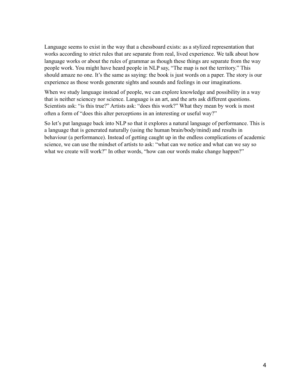Language seems to exist in the way that a chessboard exists: as a stylized representation that works according to strict rules that are separate from real, lived experience. We talk about how language works or about the rules of grammar as though these things are separate from the way people work. You might have heard people in NLP say, "The map is not the territory." This should amaze no one. It's the same as saying: the book is just words on a paper. The story is our experience as those words generate sights and sounds and feelings in our imaginations.

When we study language instead of people, we can explore knowledge and possibility in a way that is neither sciencey nor science. Language is an art, and the arts ask different questions. Scientists ask: "is this true?" Artists ask: "does this work?" What they mean by work is most often a form of "does this alter perceptions in an interesting or useful way?"

So let's put language back into NLP so that it explores a natural language of performance. This is a language that is generated naturally (using the human brain/body/mind) and results in behaviour (a performance). Instead of getting caught up in the endless complications of academic science, we can use the mindset of artists to ask: "what can we notice and what can we say so what we create will work?" In other words, "how can our words make change happen?"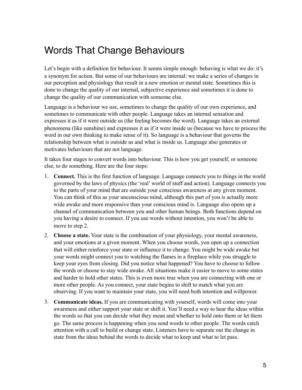# Words That Change Behaviours

Let's begin with a definition for behaviour. It seems simple enough: behaving is what we do: it's a synonym for action. But some of our behaviours are internal: we make a series of changes in our perception and physiology that result in a new emotion or mental state. Sometimes this is done to change the quality of our internal, subjective experience and sometimes it is done to change the quality of our communication with someone else.

Language is a behaviour we use, sometimes to change the quality of our own experience, and sometimes to communicate with other people. Language takes an internal sensation and expresses it as if it were outside us (the feeling becomes the word). Language takes an external phenomena (like sunshine) and expresses it as if it were inside us (because we have to process the word in our own thinking to make sense of it). So language is a behaviour that governs the relationship between what is outside us and what is inside us. Language also generates or motivates behaviours that are not language.

It takes four stages to convert words into behaviour. This is how you get yourself, or someone else, to do something. Here are the four steps:

- 1. **Connect.** This is the first function of language. Language connects you to things in the world governed by the laws of physics (the 'real' world of stuff and action). Language connects you to the parts of your mind that are outside your conscious awareness at any given moment. You can think of this as your unconscious mind, although this part of you is actually more wide awake and more responsive than your conscious mind is. Language also opens up a channel of communication between you and other human beings. Both functions depend on you having a desire to connect. If you use words without intention, you won't be able to move to step 2.
- 2. **Choose a state.** Your state is the combination of your physiology, your mental awareness, and your emotions at a given moment. When you choose words, you open up a connection that will either reinforce your state or influence it to change. You might be wide awake but your words might connect you to watching the flames in a fireplace while you struggle to keep your eyes from closing. Did you notice what happened? You have to choose to follow the words or choose to stay wide awake. All situations make it easier to move to some states and harder to hold other states. This is even more true when you are connecting with one or more other people. As you connect, your state begins to shift to match what you are observing. If you want to maintain your state, you will need both intention and willpower.
- 3. **Communicate ideas.** If you are communicating with yourself, words will come into your awareness and either support your state or shift it. You'll need a way to hear the ideas within the words so that you can decide what they mean and whether to hold onto them or let them go. The same process is happening when you send words to other people. The words catch attention with a call to build or change state. Listeners have to separate out the change in state from the ideas behind the words to decide what to keep and what to let pass.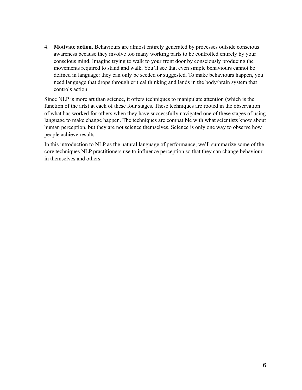4. **Motivate action.** Behaviours are almost entirely generated by processes outside conscious awareness because they involve too many working parts to be controlled entirely by your conscious mind. Imagine trying to walk to your front door by consciously producing the movements required to stand and walk. You'll see that even simple behaviours cannot be defined in language: they can only be seeded or suggested. To make behaviours happen, you need language that drops through critical thinking and lands in the body/brain system that controls action.

Since NLP is more art than science, it offers techniques to manipulate attention (which is the function of the arts) at each of these four stages. These techniques are rooted in the observation of what has worked for others when they have successfully navigated one of these stages of using language to make change happen. The techniques are compatible with what scientists know about human perception, but they are not science themselves. Science is only one way to observe how people achieve results.

In this introduction to NLP as the natural language of performance, we'll summarize some of the core techniques NLP practitioners use to influence perception so that they can change behaviour in themselves and others.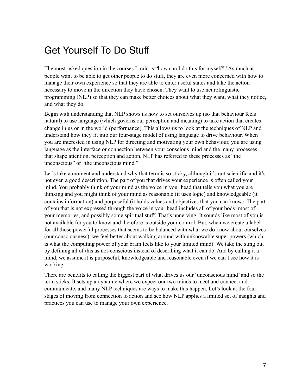# Get Yourself To Do Stuff

The most-asked question in the courses I train is "how can I do this for myself?" As much as people want to be able to get other people to do stuff, they are even more concerned with how to manage their own experience so that they are able to enter useful states and take the action necessary to move in the direction they have chosen. They want to use neurolinguistic programming (NLP) so that they can make better choices about what they want, what they notice, and what they do.

Begin with understanding that NLP shows us how to set ourselves up (so that behaviour feels natural) to use language (which governs our perception and meaning) to take action that creates change in us or in the world (performance). This allows us to look at the techniques of NLP and understand how they fit into our four-stage model of using language to drive behaviour. When you are interested in using NLP for directing and motivating your own behaviour, you are using language as the interface or connection between your conscious mind and the many processes that shape attention, perception and action. NLP has referred to these processes as "the unconscious" or "the unconscious mind."

Let's take a moment and understand why that term is so sticky, although it's not scientific and it's not even a good description. The part of you that drives your experience is often called your mind. You probably think of your mind as the voice in your head that tells you what you are thinking and you might think of your mind as reasonable (it uses logic) and knowledgeable (it contains information) and purposeful (it holds values and objectives that you can know). The part of you that is not expressed through the voice in your head includes all of your body, most of your memories, and possibly some spiritual stuff. That's unnerving. It sounds like most of you is not available for you to know and therefore is outside your control. But, when we create a label for all those powerful processes that seems to be balanced with what we do know about ourselves (our consciousness), we feel better about walking around with unknowable super powers (which is what the computing power of your brain feels like to your limited mind). We take the sting out by defining all of this as not-conscious instead of describing what it can do. And by calling it a mind, we assume it is purposeful, knowledgeable and reasonable even if we can't see how it is working.

There are benefits to calling the biggest part of what drives us our 'unconscious mind' and so the term sticks. It sets up a dynamic where we expect our two minds to meet and connect and communicate, and many NLP techniques are ways to make this happen. Let's look at the four stages of moving from connection to action and see how NLP applies a limited set of insights and practices you can use to manage your own experience.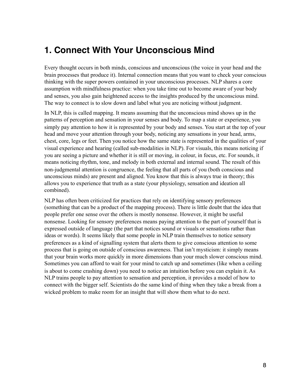## **1. Connect With Your Unconscious Mind**

Every thought occurs in both minds, conscious and unconscious (the voice in your head and the brain processes that produce it). Internal connection means that you want to check your conscious thinking with the super powers contained in your unconscious processes. NLP shares a core assumption with mindfulness practice: when you take time out to become aware of your body and senses, you also gain heightened access to the insights produced by the unconscious mind. The way to connect is to slow down and label what you are noticing without judgment.

In NLP, this is called mapping. It means assuming that the unconscious mind shows up in the patterns of perception and sensation in your senses and body. To map a state or experience, you simply pay attention to how it is represented by your body and senses. You start at the top of your head and move your attention through your body, noticing any sensations in your head, arms, chest, core, legs or feet. Then you notice how the same state is represented in the qualities of your visual experience and hearing (called sub-modalities in NLP). For visuals, this means noticing if you are seeing a picture and whether it is still or moving, in colour, in focus, etc. For sounds, it means noticing rhythm, tone, and melody in both external and internal sound. The result of this non-judgmental attention is congruence, the feeling that all parts of you (both conscious and unconscious minds) are present and aligned. You know that this is always true in theory; this allows you to experience that truth as a state (your physiology, sensation and ideation all combined).

NLP has often been criticized for practices that rely on identifying sensory preferences (something that can be a product of the mapping process). There is little doubt that the idea that people prefer one sense over the others is mostly nonsense. However, it might be useful nonsense. Looking for sensory preferences means paying attention to the part of yourself that is expressed outside of language (the part that notices sound or visuals or sensations rather than ideas or words). It seems likely that some people in NLP train themselves to notice sensory preferences as a kind of signalling system that alerts them to give conscious attention to some process that is going on outside of conscious awareness. That isn't mysticism: it simply means that your brain works more quickly in more dimensions than your much slower conscious mind. Sometimes you can afford to wait for your mind to catch up and sometimes (like when a ceiling is about to come crashing down) you need to notice an intuition before you can explain it. As NLP trains people to pay attention to sensation and perception, it provides a model of how to connect with the bigger self. Scientists do the same kind of thing when they take a break from a wicked problem to make room for an insight that will show them what to do next.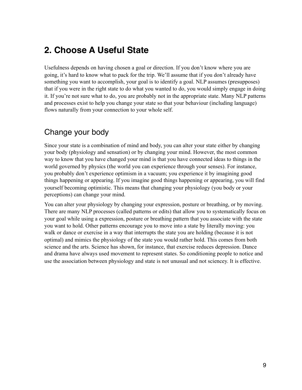## **2. Choose A Useful State**

Usefulness depends on having chosen a goal or direction. If you don't know where you are going, it's hard to know what to pack for the trip. We'll assume that if you don't already have something you want to accomplish, your goal is to identify a goal. NLP assumes (presupposes) that if you were in the right state to do what you wanted to do, you would simply engage in doing it. If you're not sure what to do, you are probably not in the appropriate state. Many NLP patterns and processes exist to help you change your state so that your behaviour (including language) flows naturally from your connection to your whole self.

#### Change your body

Since your state is a combination of mind and body, you can alter your state either by changing your body (physiology and sensation) or by changing your mind. However, the most common way to know that you have changed your mind is that you have connected ideas to things in the world governed by physics (the world you can experience through your senses). For instance, you probably don't experience optimism in a vacuum; you experience it by imagining good things happening or appearing. If you imagine good things happening or appearing, you will find yourself becoming optimistic. This means that changing your physiology (you body or your perceptions) can change your mind.

You can alter your physiology by changing your expression, posture or breathing, or by moving. There are many NLP processes (called patterns or edits) that allow you to systematically focus on your goal while using a expression, posture or breathing pattern that you associate with the state you want to hold. Other patterns encourage you to move into a state by literally moving: you walk or dance or exercise in a way that interrupts the state you are holding (because it is not optimal) and mimics the physiology of the state you would rather hold. This comes from both science and the arts. Science has shown, for instance, that exercise reduces depression. Dance and drama have always used movement to represent states. So conditioning people to notice and use the association between physiology and state is not unusual and not sciencey. It is effective.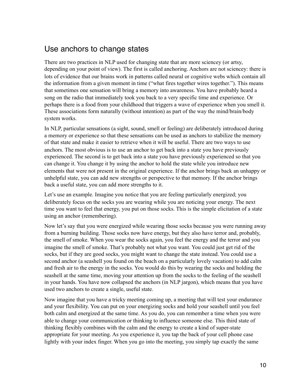#### Use anchors to change states

There are two practices in NLP used for changing state that are more sciencey (or artsy, depending on your point of view). The first is called anchoring. Anchors are not sciencey: there is lots of evidence that our brains work in patterns called neural or cognitive webs which contain all the information from a given moment in time ("what fires together wires together."). This means that sometimes one sensation will bring a memory into awareness. You have probably heard a song on the radio that immediately took you back to a very specific time and experience. Or perhaps there is a food from your childhood that triggers a wave of experience when you smell it. These associations form naturally (without intention) as part of the way the mind/brain/body system works.

In NLP, particular sensations (a sight, sound, smell or feeling) are deliberately introduced during a memory or experience so that these sensations can be used as anchors to stabilize the memory of that state and make it easier to retrieve when it will be useful. There are two ways to use anchors. The most obvious is to use an anchor to get back into a state you have previously experienced. The second is to get back into a state you have previously experienced so that you can change it. You change it by using the anchor to hold the state while you introduce new elements that were not present in the original experience. If the anchor brings back an unhappy or unhelpful state, you can add new strengths or perspective to that memory. If the anchor brings back a useful state, you can add more strengths to it.

Let's use an example. Imagine you notice that you are feeling particularly energized; you deliberately focus on the socks you are wearing while you are noticing your energy. The next time you want to feel that energy, you put on those socks. This is the simple elicitation of a state using an anchor (remembering).

Now let's say that you were energized while wearing those socks because you were running away from a burning building. Those socks now have energy, but they also have terror and, probably, the smell of smoke. When you wear the socks again, you feel the energy and the terror and you imagine the smell of smoke. That's probably not what you want. You could just get rid of the socks, but if they are good socks, you might want to change the state instead. You could use a second anchor (a seashell you found on the beach on a particularly lovely vacation) to add calm and fresh air to the energy in the socks. You would do this by wearing the socks and holding the seashell at the same time, moving your attention up from the socks to the feeling of the seashell in your hands. You have now collapsed the anchors (in NLP jargon), which means that you have used two anchors to create a single, useful state.

Now imagine that you have a tricky meeting coming up, a meeting that will test your endurance and your flexibility. You can put on your energizing socks and hold your seashell until you feel both calm and energized at the same time. As you do, you can remember a time when you were able to change your communication or thinking to influence someone else. This third state of thinking flexibly combines with the calm and the energy to create a kind of super-state appropriate for your meeting. As you experience it, you tap the back of your cell phone case lightly with your index finger. When you go into the meeting, you simply tap exactly the same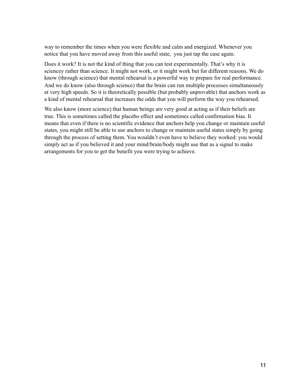way to remember the times when you were flexible and calm and energized. Whenever you notice that you have moved away from this useful state, you just tap the case again.

Does it work? It is not the kind of thing that you can test experimentally. That's why it is sciencey rather than science. It might not work, or it might work but for different reasons. We do know (through science) that mental rehearsal is a powerful way to prepare for real performance. And we do know (also through science) that the brain can run multiple processes simultaneously at very high speeds. So it is theoretically possible (but probably unprovable) that anchors work as a kind of mental rehearsal that increases the odds that you will perform the way you rehearsed.

We also know (more science) that human beings are very good at acting as if their beliefs are true. This is sometimes called the placebo effect and sometimes called confirmation bias. It means that even if there is no scientific evidence that anchors help you change or maintain useful states, you might still be able to use anchors to change or maintain useful states simply by going through the process of setting them. You wouldn't even have to believe they worked: you would simply act as if you believed it and your mind/brain/body might use that as a signal to make arrangements for you to get the benefit you were trying to achieve.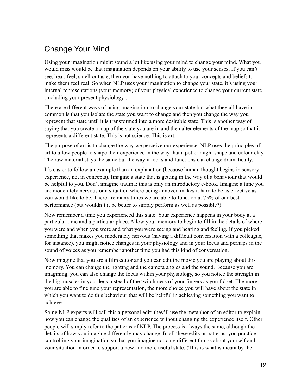## Change Your Mind

Using your imagination might sound a lot like using your mind to change your mind. What you would miss would be that imagination depends on your ability to use your senses. If you can't see, hear, feel, smell or taste, then you have nothing to attach to your concepts and beliefs to make them feel real. So when NLP uses your imagination to change your state, it's using your internal representations (your memory) of your physical experience to change your current state (including your present physiology).

There are different ways of using imagination to change your state but what they all have in common is that you isolate the state you want to change and then you change the way you represent that state until it is transformed into a more desirable state. This is another way of saying that you create a map of the state you are in and then alter elements of the map so that it represents a different state. This is not science. This is art.

The purpose of art is to change the way we perceive our experience. NLP uses the principles of art to allow people to shape their experience in the way that a potter might shape and colour clay. The raw material stays the same but the way it looks and functions can change dramatically.

It's easier to follow an example than an explanation (because human thought begins in sensory experience, not in concepts). Imagine a state that is getting in the way of a behaviour that would be helpful to you. Don't imagine trauma: this is only an introductory e-book. Imagine a time you are moderately nervous or a situation where being annoyed makes it hard to be as effective as you would like to be. There are many times we are able to function at 75% of our best performance (but wouldn't it be better to simply perform as well as possible?).

Now remember a time you experienced this state. Your experience happens in your body at a particular time and a particular place. Allow your memory to begin to fill in the details of where you were and when you were and what you were seeing and hearing and feeling. If you picked something that makes you moderately nervous (having a difficult conversation with a colleague, for instance), you might notice changes in your physiology and in your focus and perhaps in the sound of voices as you remember another time you had this kind of conversation.

Now imagine that you are a film editor and you can edit the movie you are playing about this memory. You can change the lighting and the camera angles and the sound. Because you are imagining, you can also change the focus within your physiology, so you notice the strength in the big muscles in your legs instead of the twitchiness of your fingers as you fidget. The more you are able to fine tune your representation, the more choice you will have about the state in which you want to do this behaviour that will be helpful in achieving something you want to achieve.

Some NLP experts will call this a personal edit: they'll use the metaphor of an editor to explain how you can change the qualities of an experience without changing the experience itself. Other people will simply refer to the patterns of NLP. The process is always the same, although the details of how you imagine differently may change. In all these edits or patterns, you practice controlling your imagination so that you imagine noticing different things about yourself and your situation in order to support a new and more useful state. (This is what is meant by the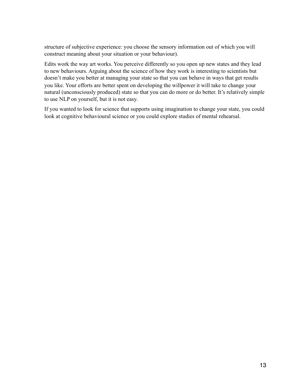structure of subjective experience: you choose the sensory information out of which you will construct meaning about your situation or your behaviour).

Edits work the way art works. You perceive differently so you open up new states and they lead to new behaviours. Arguing about the science of how they work is interesting to scientists but doesn't make you better at managing your state so that you can behave in ways that get results you like. Your efforts are better spent on developing the willpower it will take to change your natural (unconsciously produced) state so that you can do more or do better. It's relatively simple to use NLP on yourself, but it is not easy.

If you wanted to look for science that supports using imagination to change your state, you could look at cognitive behavioural science or you could explore studies of mental rehearsal.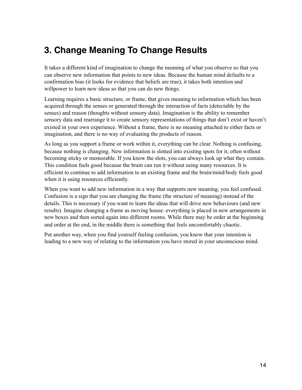## **3. Change Meaning To Change Results**

It takes a different kind of imagination to change the meaning of what you observe so that you can observe new information that points to new ideas. Because the human mind defaults to a confirmation bias (it looks for evidence that beliefs are true), it takes both intention and willpower to learn new ideas so that you can do new things.

Learning requires a basic structure, or frame, that gives meaning to information which has been acquired through the senses or generated through the interaction of facts (detectable by the senses) and reason (thoughts without sensory data). Imagination is the ability to remember sensory data and rearrange it to create sensory representations of things that don't exist or haven't existed in your own experience. Without a frame, there is no meaning attached to either facts or imagination, and there is no way of evaluating the products of reason.

As long as you support a frame or work within it, everything can be clear. Nothing is confusing, because nothing is changing. New information is slotted into existing spots for it, often without becoming sticky or memorable. If you know the slots, you can always look up what they contain. This condition feels good because the brain can run it without using many resources. It is efficient to continue to add information to an existing frame and the brain/mind/body feels good when it is using resources efficiently.

When you want to add new information in a way that supports new meaning, you feel confused. Confusion is a sign that you are changing the frame (the structure of meaning) instead of the details. This is necessary if you want to learn the ideas that will drive new behaviours (and new results). Imagine changing a frame as moving house: everything is placed in new arrangements in new boxes and then sorted again into different rooms. While there may be order at the beginning and order at the end, in the middle there is something that feels uncomfortably chaotic.

Put another way, when you find yourself feeling confusion, you know that your intention is leading to a new way of relating to the information you have stored in your unconscious mind.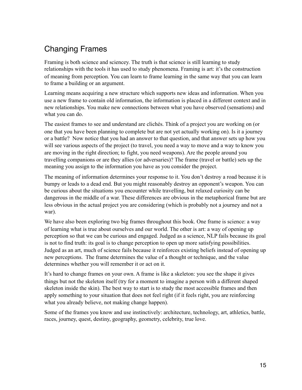## Changing Frames

Framing is both science and sciencey. The truth is that science is still learning to study relationships with the tools it has used to study phenomena. Framing is art: it's the construction of meaning from perception. You can learn to frame learning in the same way that you can learn to frame a building or an argument.

Learning means acquiring a new structure which supports new ideas and information. When you use a new frame to contain old information, the information is placed in a different context and in new relationships. You make new connections between what you have observed (sensations) and what you can do.

The easiest frames to see and understand are clichés. Think of a project you are working on (or one that you have been planning to complete but are not yet actually working on). Is it a journey or a battle? Now notice that you had an answer to that question, and that answer sets up how you will see various aspects of the project (to travel, you need a way to move and a way to know you are moving in the right direction; to fight, you need weapons). Are the people around you travelling companions or are they allies (or adversaries)? The frame (travel or battle) sets up the meaning you assign to the information you have as you consider the project.

The meaning of information determines your response to it. You don't destroy a road because it is bumpy or leads to a dead end. But you might reasonably destroy an opponent's weapon. You can be curious about the situations you encounter while travelling, but relaxed curiosity can be dangerous in the middle of a war. These differences are obvious in the metaphorical frame but are less obvious in the actual project you are considering (which is probably not a journey and not a war).

We have also been exploring two big frames throughout this book. One frame is science: a way of learning what is true about ourselves and our world. The other is art: a way of opening up perception so that we can be curious and engaged. Judged as a science, NLP fails because its goal is not to find truth: its goal is to change perception to open up more satisfying possibilities. Judged as an art, much of science fails because it reinforces existing beliefs instead of opening up new perceptions. The frame determines the value of a thought or technique, and the value determines whether you will remember it or act on it.

It's hard to change frames on your own. A frame is like a skeleton: you see the shape it gives things but not the skeleton itself (try for a moment to imagine a person with a different shaped skeleton inside the skin). The best way to start is to study the most accessible frames and then apply something to your situation that does not feel right (if it feels right, you are reinforcing what you already believe, not making change happen).

Some of the frames you know and use instinctively: architecture, technology, art, athletics, battle, races, journey, quest, destiny, geography, geometry, celebrity, true love.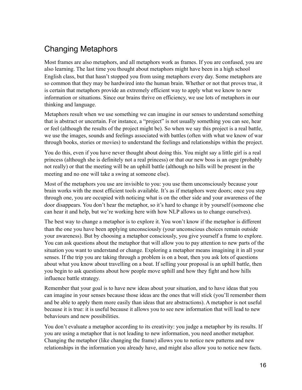## Changing Metaphors

Most frames are also metaphors, and all metaphors work as frames. If you are confused, you are also learning. The last time you thought about metaphors might have been in a high school English class, but that hasn't stopped you from using metaphors every day. Some metaphors are so common that they may be hardwired into the human brain. Whether or not that proves true, it is certain that metaphors provide an extremely efficient way to apply what we know to new information or situations. Since our brains thrive on efficiency, we use lots of metaphors in our thinking and language.

Metaphors result when we use something we can imagine in our senses to understand something that is abstract or uncertain. For instance, a "project" is not usually something you can see, hear or feel (although the results of the project might be). So when we say this project is a real battle, we use the images, sounds and feelings associated with battles (often with what we know of war through books, stories or movies) to understand the feelings and relationships within the project.

You do this, even if you have never thought about doing this. You might say a little girl is a real princess (although she is definitely not a real princess) or that our new boss is an ogre (probably not really) or that the meeting will be an uphill battle (although no hills will be present in the meeting and no one will take a swing at someone else).

Most of the metaphors you use are invisible to you: you use them unconsciously because your brain works with the most efficient tools available. It's as if metaphors were doors; once you step through one, you are occupied with noticing what is on the other side and your awareness of the door disappears. You don't hear the metaphor, so it's hard to change it by yourself (someone else can hear it and help, but we're working here with how NLP allows us to change ourselves).

The best way to change a metaphor is to explore it. You won't know if the metaphor is different than the one you have been applying unconsciously (your unconscious choices remain outside your awareness). But by choosing a metaphor consciously, you give yourself a frame to explore. You can ask questions about the metaphor that will allow you to pay attention to new parts of the situation you want to understand or change. Exploring a metaphor means imagining it in all your senses. If the trip you are taking through a problem is on a boat, then you ask lots of questions about what you know about travelling on a boat. If selling your proposal is an uphill battle, then you begin to ask questions about how people move uphill and how they fight and how hills influence battle strategy.

Remember that your goal is to have new ideas about your situation, and to have ideas that you can imagine in your senses because those ideas are the ones that will stick (you'll remember them and be able to apply them more easily than ideas that are abstractions). A metaphor is not useful because it is true: it is useful because it allows you to see new information that will lead to new behaviours and new possibilities.

You don't evaluate a metaphor according to its creativity: you judge a metaphor by its results. If you are using a metaphor that is not leading to new information, you need another metaphor. Changing the metaphor (like changing the frame) allows you to notice new patterns and new relationships in the information you already have, and might also allow you to notice new facts.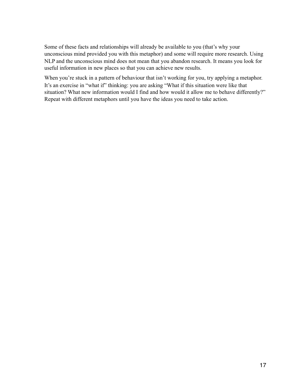Some of these facts and relationships will already be available to you (that's why your unconscious mind provided you with this metaphor) and some will require more research. Using NLP and the unconscious mind does not mean that you abandon research. It means you look for useful information in new places so that you can achieve new results.

When you're stuck in a pattern of behaviour that isn't working for you, try applying a metaphor. It's an exercise in "what if" thinking: you are asking "What if this situation were like that situation? What new information would I find and how would it allow me to behave differently?" Repeat with different metaphors until you have the ideas you need to take action.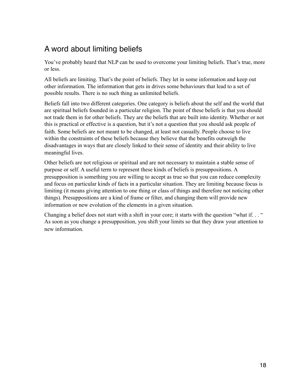## A word about limiting beliefs

You've probably heard that NLP can be used to overcome your limiting beliefs. That's true, more or less.

All beliefs are limiting. That's the point of beliefs. They let in some information and keep out other information. The information that gets in drives some behaviours that lead to a set of possible results. There is no such thing as unlimited beliefs.

Beliefs fall into two different categories. One category is beliefs about the self and the world that are spiritual beliefs founded in a particular religion. The point of these beliefs is that you should not trade them in for other beliefs. They are the beliefs that are built into identity. Whether or not this is practical or effective is a question, but it's not a question that you should ask people of faith. Some beliefs are not meant to be changed, at least not casually. People choose to live within the constraints of these beliefs because they believe that the benefits outweigh the disadvantages in ways that are closely linked to their sense of identity and their ability to live meaningful lives.

Other beliefs are not religious or spiritual and are not necessary to maintain a stable sense of purpose or self. A useful term to represent these kinds of beliefs is presuppositions. A presupposition is something you are willing to accept as true so that you can reduce complexity and focus on particular kinds of facts in a particular situation. They are limiting because focus is limiting (it means giving attention to one thing or class of things and therefore not noticing other things). Presuppositions are a kind of frame or filter, and changing them will provide new information or new evolution of the elements in a given situation.

Changing a belief does not start with a shift in your core; it starts with the question "what if. . . " As soon as you change a presupposition, you shift your limits so that they draw your attention to new information.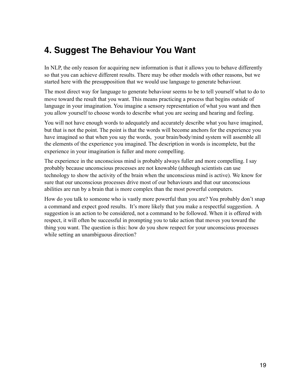## **4. Suggest The Behaviour You Want**

In NLP, the only reason for acquiring new information is that it allows you to behave differently so that you can achieve different results. There may be other models with other reasons, but we started here with the presupposition that we would use language to generate behaviour.

The most direct way for language to generate behaviour seems to be to tell yourself what to do to move toward the result that you want. This means practicing a process that begins outside of language in your imagination. You imagine a sensory representation of what you want and then you allow yourself to choose words to describe what you are seeing and hearing and feeling.

You will not have enough words to adequately and accurately describe what you have imagined, but that is not the point. The point is that the words will become anchors for the experience you have imagined so that when you say the words, your brain/body/mind system will assemble all the elements of the experience you imagined. The description in words is incomplete, but the experience in your imagination is fuller and more compelling.

The experience in the unconscious mind is probably always fuller and more compelling. I say probably because unconscious processes are not knowable (although scientists can use technology to show the activity of the brain when the unconscious mind is active). We know for sure that our unconscious processes drive most of our behaviours and that our unconscious abilities are run by a brain that is more complex than the most powerful computers.

How do you talk to someone who is vastly more powerful than you are? You probably don't snap a command and expect good results. It's more likely that you make a respectful suggestion. A suggestion is an action to be considered, not a command to be followed. When it is offered with respect, it will often be successful in prompting you to take action that moves you toward the thing you want. The question is this: how do you show respect for your unconscious processes while setting an unambiguous direction?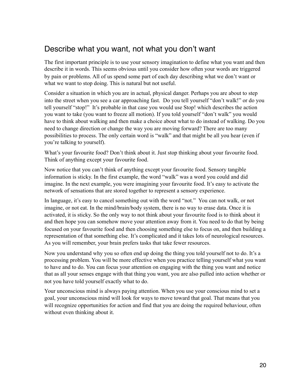#### Describe what you want, not what you don't want

The first important principle is to use your sensory imagination to define what you want and then describe it in words. This seems obvious until you consider how often your words are triggered by pain or problems. All of us spend some part of each day describing what we don't want or what we want to stop doing. This is natural but not useful.

Consider a situation in which you are in actual, physical danger. Perhaps you are about to step into the street when you see a car approaching fast. Do you tell yourself "don't walk!" or do you tell yourself "stop!" It's probable in that case you would use Stop! which describes the action you want to take (you want to freeze all motion). If you told yourself "don't walk" you would have to think about walking and then make a choice about what to do instead of walking. Do you need to change direction or change the way you are moving forward? There are too many possibilities to process. The only certain word is "walk" and that might be all you hear (even if you're talking to yourself).

What's your favourite food? Don't think about it. Just stop thinking about your favourite food. Think of anything except your favourite food.

Now notice that you can't think of anything except your favourite food. Sensory tangible information is sticky. In the first example, the word "walk" was a word you could and did imagine. In the next example, you were imagining your favourite food. It's easy to activate the network of sensations that are stored together to represent a sensory experience.

In language, it's easy to cancel something out with the word "not." You can not walk, or not imagine, or not eat. In the mind/brain/body system, there is no way to erase data. Once it is activated, it is sticky. So the only way to not think about your favourite food is to think about it and then hope you can somehow move your attention away from it. You need to do that by being focused on your favourite food and then choosing something else to focus on, and then building a representation of that something else. It's complicated and it takes lots of neurological resources. As you will remember, your brain prefers tasks that take fewer resources.

Now you understand why you so often end up doing the thing you told yourself not to do. It's a processing problem. You will be more effective when you practice telling yourself what you want to have and to do. You can focus your attention on engaging with the thing you want and notice that as all your senses engage with that thing you want, you are also pulled into action whether or not you have told yourself exactly what to do.

Your unconscious mind is always paying attention. When you use your conscious mind to set a goal, your unconscious mind will look for ways to move toward that goal. That means that you will recognize opportunities for action and find that you are doing the required behaviour, often without even thinking about it.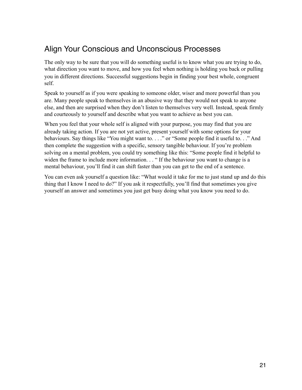## Align Your Conscious and Unconscious Processes

The only way to be sure that you will do something useful is to know what you are trying to do, what direction you want to move, and how you feel when nothing is holding you back or pulling you in different directions. Successful suggestions begin in finding your best whole, congruent self.

Speak to yourself as if you were speaking to someone older, wiser and more powerful than you are. Many people speak to themselves in an abusive way that they would not speak to anyone else, and then are surprised when they don't listen to themselves very well. Instead, speak firmly and courteously to yourself and describe what you want to achieve as best you can.

When you feel that your whole self is aligned with your purpose, you may find that you are already taking action. If you are not yet active, present yourself with some options for your behaviours. Say things like "You might want to. . . ." or "Some people find it useful to. . ." And then complete the suggestion with a specific, sensory tangible behaviour. If you're problem solving on a mental problem, you could try something like this: "Some people find it helpful to widen the frame to include more information. . . "If the behaviour you want to change is a mental behaviour, you'll find it can shift faster than you can get to the end of a sentence.

You can even ask yourself a question like: "What would it take for me to just stand up and do this thing that I know I need to do?" If you ask it respectfully, you'll find that sometimes you give yourself an answer and sometimes you just get busy doing what you know you need to do.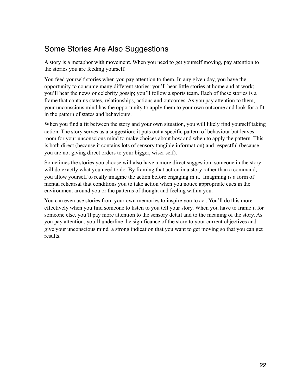## Some Stories Are Also Suggestions

A story is a metaphor with movement. When you need to get yourself moving, pay attention to the stories you are feeding yourself.

You feed yourself stories when you pay attention to them. In any given day, you have the opportunity to consume many different stories: you'll hear little stories at home and at work; you'll hear the news or celebrity gossip; you'll follow a sports team. Each of these stories is a frame that contains states, relationships, actions and outcomes. As you pay attention to them, your unconscious mind has the opportunity to apply them to your own outcome and look for a fit in the pattern of states and behaviours.

When you find a fit between the story and your own situation, you will likely find yourself taking action. The story serves as a suggestion: it puts out a specific pattern of behaviour but leaves room for your unconscious mind to make choices about how and when to apply the pattern. This is both direct (because it contains lots of sensory tangible information) and respectful (because you are not giving direct orders to your bigger, wiser self).

Sometimes the stories you choose will also have a more direct suggestion: someone in the story will do exactly what you need to do. By framing that action in a story rather than a command, you allow yourself to really imagine the action before engaging in it. Imagining is a form of mental rehearsal that conditions you to take action when you notice appropriate cues in the environment around you or the patterns of thought and feeling within you.

You can even use stories from your own memories to inspire you to act. You'll do this more effectively when you find someone to listen to you tell your story. When you have to frame it for someone else, you'll pay more attention to the sensory detail and to the meaning of the story. As you pay attention, you'll underline the significance of the story to your current objectives and give your unconscious mind a strong indication that you want to get moving so that you can get results.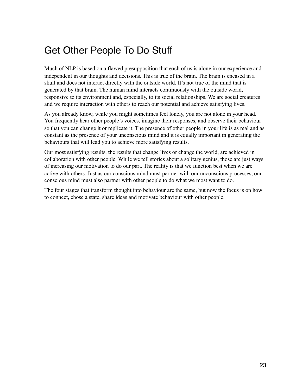# Get Other People To Do Stuff

Much of NLP is based on a flawed presupposition that each of us is alone in our experience and independent in our thoughts and decisions. This is true of the brain. The brain is encased in a skull and does not interact directly with the outside world. It's not true of the mind that is generated by that brain. The human mind interacts continuously with the outside world, responsive to its environment and, especially, to its social relationships. We are social creatures and we require interaction with others to reach our potential and achieve satisfying lives.

As you already know, while you might sometimes feel lonely, you are not alone in your head. You frequently hear other people's voices, imagine their responses, and observe their behaviour so that you can change it or replicate it. The presence of other people in your life is as real and as constant as the presence of your unconscious mind and it is equally important in generating the behaviours that will lead you to achieve more satisfying results.

Our most satisfying results, the results that change lives or change the world, are achieved in collaboration with other people. While we tell stories about a solitary genius, those are just ways of increasing our motivation to do our part. The reality is that we function best when we are active with others. Just as our conscious mind must partner with our unconscious processes, our conscious mind must also partner with other people to do what we most want to do.

The four stages that transform thought into behaviour are the same, but now the focus is on how to connect, chose a state, share ideas and motivate behaviour with other people.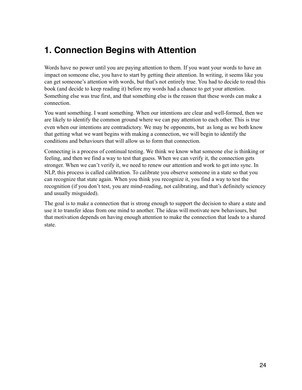## **1. Connection Begins with Attention**

Words have no power until you are paying attention to them. If you want your words to have an impact on someone else, you have to start by getting their attention. In writing, it seems like you can get someone's attention with words, but that's not entirely true. You had to decide to read this book (and decide to keep reading it) before my words had a chance to get your attention. Something else was true first, and that something else is the reason that these words can make a connection.

You want something. I want something. When our intentions are clear and well-formed, then we are likely to identify the common ground where we can pay attention to each other. This is true even when our intentions are contradictory. We may be opponents, but as long as we both know that getting what we want begins with making a connection, we will begin to identify the conditions and behaviours that will allow us to form that connection.

Connecting is a process of continual testing. We think we know what someone else is thinking or feeling, and then we find a way to test that guess. When we can verify it, the connection gets stronger. When we can't verify it, we need to renew our attention and work to get into sync. In NLP, this process is called calibration. To calibrate you observe someone in a state so that you can recognize that state again. When you think you recognize it, you find a way to test the recognition (if you don't test, you are mind-reading, not calibrating, and that's definitely sciencey and usually misguided).

The goal is to make a connection that is strong enough to support the decision to share a state and use it to transfer ideas from one mind to another. The ideas will motivate new behaviours, but that motivation depends on having enough attention to make the connection that leads to a shared state.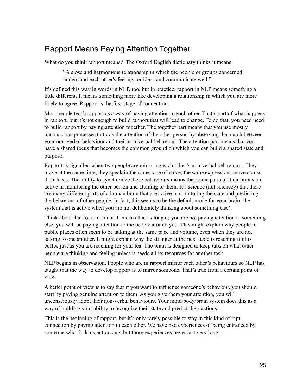#### Rapport Means Paying Attention Together

What do you think rapport means? The Oxford English dictionary thinks it means:

"A close and harmonious relationship in which the people or groups concerned understand each other's feelings or ideas and communicate well."

It's defined this way in words in NLP, too, but in practice, rapport in NLP means something a little different. It means something more like developing a relationship in which you are more likely to agree. Rapport is the first stage of connection.

Most people teach rapport as a way of paying attention to each other. That's part of what happens in rapport, but it's not enough to build rapport that will lead to change. To do that, you need need to build rapport by paying attention together. The together part means that you use mostly unconscious processes to track the attention of the other person by observing the match between your non-verbal behaviour and their non-verbal behaviour. The attention part means that you have a shared focus that becomes the common ground on which you can build a shared state and purpose.

Rapport is signalled when two people are mirroring each other's non-verbal behaviours. They move at the same time; they speak in the same tone of voice; the same expressions move across their faces. The ability to synchronize these behaviours means that some parts of their brains are active in monitoring the other person and attuning to them. It's science (not sciencey) that there are many different parts of a human brain that are active in monitoring the state and predicting the behaviour of other people. In fact, this seems to be the default mode for your brain (the system that is active when you are not deliberately thinking about something else).

Think about that for a moment. It means that as long as you are not paying attention to something else, you will be paying attention to the people around you. This might explain why people in public places often seem to be talking at the same pace and volume, even when they are not talking to one another. It might explain why the stranger at the next table is reaching for his coffee just as you are reaching for your tea. The brain is designed to keep tabs on what other people are thinking and feeling unless it needs all its resources for another task.

NLP begins in observation. People who are in rapport mirror each other's behaviours so NLP has taught that the way to develop rapport is to mirror someone. That's true from a certain point of view.

A better point of view is to say that if you want to influence someone's behaviour, you should start by paying genuine attention to them. As you give them your attention, you will unconsciously adopt their non-verbal behaviours. Your mind/body/brain system does this as a way of building your ability to recognize their state and predict their actions.

This is the beginning of rapport, but it's only rarely possible to stay in this kind of rapt connection by paying attention to each other. We have had experiences of being entranced by someone who finds us entrancing, but those experiences never last very long.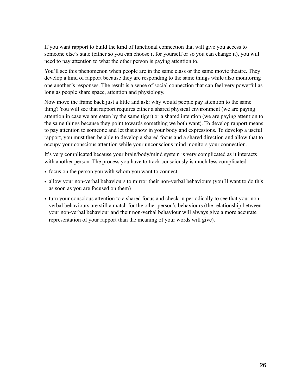If you want rapport to build the kind of functional connection that will give you access to someone else's state (either so you can choose it for yourself or so you can change it), you will need to pay attention to what the other person is paying attention to.

You'll see this phenomenon when people are in the same class or the same movie theatre. They develop a kind of rapport because they are responding to the same things while also monitoring one another's responses. The result is a sense of social connection that can feel very powerful as long as people share space, attention and physiology.

Now move the frame back just a little and ask: why would people pay attention to the same thing? You will see that rapport requires either a shared physical environment (we are paying attention in case we are eaten by the same tiger) or a shared intention (we are paying attention to the same things because they point towards something we both want). To develop rapport means to pay attention to someone and let that show in your body and expressions. To develop a useful rapport, you must then be able to develop a shared focus and a shared direction and allow that to occupy your conscious attention while your unconscious mind monitors your connection.

It's very complicated because your brain/body/mind system is very complicated as it interacts with another person. The process you have to track consciously is much less complicated:

- focus on the person you with whom you want to connect
- allow your non-verbal behaviours to mirror their non-verbal behaviours (you'll want to do this as soon as you are focused on them)
- turn your conscious attention to a shared focus and check in periodically to see that your nonverbal behaviours are still a match for the other person's behaviours (the relationship between your non-verbal behaviour and their non-verbal behaviour will always give a more accurate representation of your rapport than the meaning of your words will give).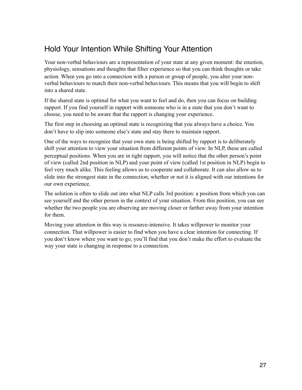#### Hold Your Intention While Shifting Your Attention

Your non-verbal behaviours are a representation of your state at any given moment: the emotion, physiology, sensations and thoughts that filter experience so that you can think thoughts or take action. When you go into a connection with a person or group of people, you alter your nonverbal behaviours to match their non-verbal behaviours. This means that you will begin to shift into a shared state.

If the shared state is optimal for what you want to feel and do, then you can focus on building rapport. If you find yourself in rapport with someone who is in a state that you don't want to choose, you need to be aware that the rapport is changing your experience.

The first step in choosing an optimal state is recognizing that you always have a choice. You don't have to slip into someone else's state and stay there to maintain rapport.

One of the ways to recognize that your own state is being shifted by rapport is to deliberately shift your attention to view your situation from different points of view. In NLP, these are called perceptual positions. When you are in tight rapport, you will notice that the other person's point of view (called 2nd position in NLP) and your point of view (called 1st position in NLP) begin to feel very much alike. This feeling allows us to cooperate and collaborate. It can also allow us to slide into the strongest state in the connection, whether or not it is aligned with our intentions for our own experience.

The solution is often to slide out into what NLP calls 3rd position: a position from which you can see yourself and the other person in the context of your situation. From this position, you can see whether the two people you are observing are moving closer or farther away from your intention for them.

Moving your attention in this way is resource-intensive. It takes willpower to monitor your connection. That willpower is easier to find when you have a clear intention for connecting. If you don't know where you want to go, you'll find that you don't make the effort to evaluate the way your state is changing in response to a connection.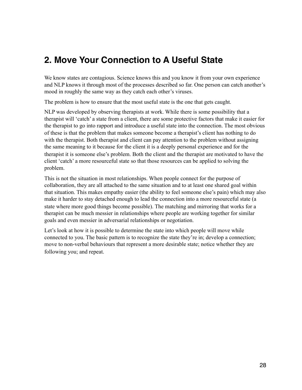## **2. Move Your Connection to A Useful State**

We know states are contagious. Science knows this and you know it from your own experience and NLP knows it through most of the processes described so far. One person can catch another's mood in roughly the same way as they catch each other's viruses.

The problem is how to ensure that the most useful state is the one that gets caught.

NLP was developed by observing therapists at work. While there is some possibility that a therapist will 'catch' a state from a client, there are some protective factors that make it easier for the therapist to go into rapport and introduce a useful state into the connection. The most obvious of these is that the problem that makes someone become a therapist's client has nothing to do with the therapist. Both therapist and client can pay attention to the problem without assigning the same meaning to it because for the client it is a deeply personal experience and for the therapist it is someone else's problem. Both the client and the therapist are motivated to have the client 'catch' a more resourceful state so that those resources can be applied to solving the problem.

This is not the situation in most relationships. When people connect for the purpose of collaboration, they are all attached to the same situation and to at least one shared goal within that situation. This makes empathy easier (the ability to feel someone else's pain) which may also make it harder to stay detached enough to lead the connection into a more resourceful state (a state where more good things become possible). The matching and mirroring that works for a therapist can be much messier in relationships where people are working together for similar goals and even messier in adversarial relationships or negotiation.

Let's look at how it is possible to determine the state into which people will move while connected to you. The basic pattern is to recognize the state they're in; develop a connection; move to non-verbal behaviours that represent a more desirable state; notice whether they are following you; and repeat.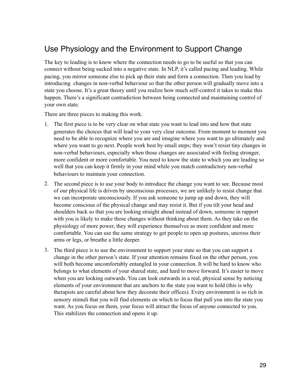#### Use Physiology and the Environment to Support Change

The key to leading is to know where the connection needs to go to be useful so that you can connect without being sucked into a negative state. In NLP, it's called pacing and leading. While pacing, you mirror someone else to pick up their state and form a connection. Then you lead by introducing changes in non-verbal behaviour so that the other person will gradually move into a state you choose. It's a great theory until you realize how much self-control it takes to make this happen. There's a significant contradiction between being connected and maintaining control of your own state.

There are three pieces to making this work.

- 1. The first piece is to be very clear on what state you want to lead into and how that state generates the choices that will lead to your very clear outcome. From moment to moment you need to be able to recognize where you are and imagine where you want to go ultimately and where you want to go next. People work best by small steps; they won't resist tiny changes in non-verbal behaviours, especially when those changes are associated with feeling stronger, more confident or more comfortable. You need to know the state to which you are leading so well that you can keep it firmly in your mind while you match contradictory non-verbal behaviours to maintain your connection.
- 2. The second piece is to use your body to introduce the change you want to see. Because most of our physical life is driven by unconscious processes, we are unlikely to resist change that we can incorporate unconsciously. If you ask someone to jump up and down, they will become conscious of the physical change and may resist it. But if you tilt your head and shoulders back so that you are looking straight ahead instead of down, someone in rapport with you is likely to make those changes without thinking about them. As they take on the physiology of more power, they will experience themselves as more confident and more comfortable. You can use the same strategy to get people to open up postures, uncross their arms or legs, or breathe a little deeper.
- 3. The third piece is to use the environment to support your state so that you can support a change in the other person's state. If your attention remains fixed on the other person, you will both become uncomfortably entangled in your connection. It will be hard to know who belongs to what elements of your shared state, and hard to move forward. It's easier to move when you are looking outwards. You can look outwards in a real, physical sense by noticing elements of your environment that are anchors to the state you want to hold (this is why therapists are careful about how they decorate their offices). Every environment is so rich in sensory stimuli that you will find elements on which to focus that pull you into the state you want. As you focus on them, your focus will attract the focus of anyone connected to you. This stabilizes the connection and opens it up.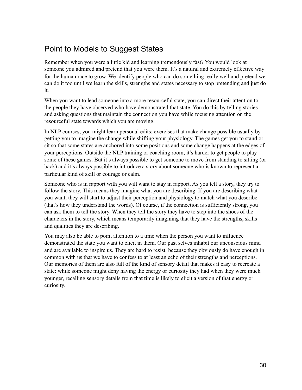## Point to Models to Suggest States

Remember when you were a little kid and learning tremendously fast? You would look at someone you admired and pretend that you were them. It's a natural and extremely effective way for the human race to grow. We identify people who can do something really well and pretend we can do it too until we learn the skills, strengths and states necessary to stop pretending and just do it.

When you want to lead someone into a more resourceful state, you can direct their attention to the people they have observed who have demonstrated that state. You do this by telling stories and asking questions that maintain the connection you have while focusing attention on the resourceful state towards which you are moving.

In NLP courses, you might learn personal edits: exercises that make change possible usually by getting you to imagine the change while shifting your physiology. The games get you to stand or sit so that some states are anchored into some positions and some change happens at the edges of your perceptions. Outside the NLP training or coaching room, it's harder to get people to play some of these games. But it's always possible to get someone to move from standing to sitting (or back) and it's always possible to introduce a story about someone who is known to represent a particular kind of skill or courage or calm.

Someone who is in rapport with you will want to stay in rapport. As you tell a story, they try to follow the story. This means they imagine what you are describing. If you are describing what you want, they will start to adjust their perception and physiology to match what you describe (that's how they understand the words). Of course, if the connection is sufficiently strong, you can ask them to tell the story. When they tell the story they have to step into the shoes of the characters in the story, which means temporarily imagining that they have the strengths, skills and qualities they are describing.

You may also be able to point attention to a time when the person you want to influence demonstrated the state you want to elicit in them. Our past selves inhabit our unconscious mind and are available to inspire us. They are hard to resist, because they obviously do have enough in common with us that we have to confess to at least an echo of their strengths and perceptions. Our memories of them are also full of the kind of sensory detail that makes it easy to recreate a state: while someone might deny having the energy or curiosity they had when they were much younger, recalling sensory details from that time is likely to elicit a version of that energy or curiosity.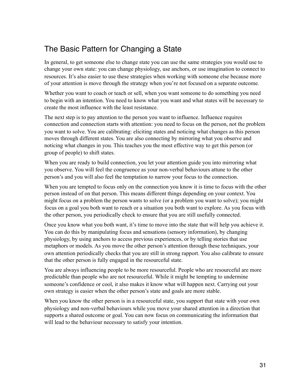#### The Basic Pattern for Changing a State

In general, to get someone else to change state you can use the same strategies you would use to change your own state: you can change physiology, use anchors, or use imagination to connect to resources. It's also easier to use these strategies when working with someone else because more of your attention is move through the strategy when you're not focused on a separate outcome.

Whether you want to coach or teach or sell, when you want someone to do something you need to begin with an intention. You need to know what you want and what states will be necessary to create the most influence with the least resistance.

The next step is to pay attention to the person you want to influence. Influence requires connection and connection starts with attention: you need to focus on the person, not the problem you want to solve. You are calibrating: eliciting states and noticing what changes as this person moves through different states. You are also connecting by mirroring what you observe and noticing what changes in you. This teaches you the most effective way to get this person (or group of people) to shift states.

When you are ready to build connection, you let your attention guide you into mirroring what you observe. You will feel the congruence as your non-verbal behaviours attune to the other person's and you will also feel the temptation to narrow your focus to the connection.

When you are tempted to focus only on the connection you know it is time to focus with the other person instead of on that person. This means different things depending on your context. You might focus on a problem the person wants to solve (or a problem you want to solve); you might focus on a goal you both want to reach or a situation you both want to explore. As you focus with the other person, you periodically check to ensure that you are still usefully connected.

Once you know what you both want, it's time to move into the state that will help you achieve it. You can do this by manipulating focus and sensations (sensory information), by changing physiology, by using anchors to access previous experiences, or by telling stories that use metaphors or models. As you move the other person's attention through these techniques, your own attention periodically checks that you are still in strong rapport. You also calibrate to ensure that the other person is fully engaged in the resourceful state.

You are always influencing people to be more resourceful. People who are resourceful are more predictable than people who are not resourceful. While it might be tempting to undermine someone's confidence or cool, it also makes it know what will happen next. Carrying out your own strategy is easier when the other person's state and goals are more stable.

When you know the other person is in a resourceful state, you support that state with your own physiology and non-verbal behaviours while you move your shared attention in a direction that supports a shared outcome or goal. You can now focus on communicating the information that will lead to the behaviour necessary to satisfy your intention.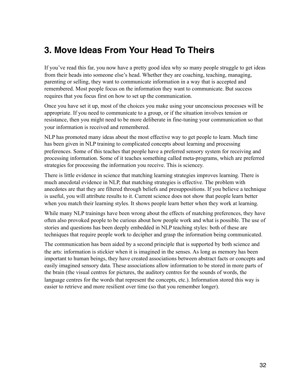## **3. Move Ideas From Your Head To Theirs**

If you've read this far, you now have a pretty good idea why so many people struggle to get ideas from their heads into someone else's head. Whether they are coaching, teaching, managing, parenting or selling, they want to communicate information in a way that is accepted and remembered. Most people focus on the information they want to communicate. But success requires that you focus first on how to set up the communication.

Once you have set it up, most of the choices you make using your unconscious processes will be appropriate. If you need to communicate to a group, or if the situation involves tension or resistance, then you might need to be more deliberate in fine-tuning your communication so that your information is received and remembered.

NLP has promoted many ideas about the most effective way to get people to learn. Much time has been given in NLP training to complicated concepts about learning and processing preferences. Some of this teaches that people have a preferred sensory system for receiving and processing information. Some of it teaches something called meta-programs, which are preferred strategies for processing the information you receive. This is sciencey.

There is little evidence in science that matching learning strategies improves learning. There is much anecdotal evidence in NLP, that matching strategies is effective. The problem with anecdotes are that they are filtered through beliefs and presuppositions. If you believe a technique is useful, you will attribute results to it. Current science does not show that people learn better when you match their learning styles. It shows people learn better when they work at learning.

While many NLP trainings have been wrong about the effects of matching preferences, they have often also provoked people to be curious about how people work and what is possible. The use of stories and questions has been deeply embedded in NLP teaching styles: both of these are techniques that require people work to decipher and grasp the information being communicated.

The communication has been aided by a second principle that is supported by both science and the arts: information is stickier when it is imagined in the senses. As long as memory has been important to human beings, they have created associations between abstract facts or concepts and easily imagined sensory data. These associations allow information to be stored in more parts of the brain (the visual centres for pictures, the auditory centres for the sounds of words, the language centres for the words that represent the concepts, etc.). Information stored this way is easier to retrieve and more resilient over time (so that you remember longer).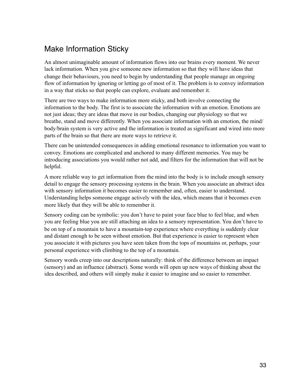## Make Information Sticky

An almost unimaginable amount of information flows into our brains every moment. We never lack information. When you give someone new information so that they will have ideas that change their behaviours, you need to begin by understanding that people manage an ongoing flow of information by ignoring or letting go of most of it. The problem is to convey information in a way that sticks so that people can explore, evaluate and remember it.

There are two ways to make information more sticky, and both involve connecting the information to the body. The first is to associate the information with an emotion. Emotions are not just ideas; they are ideas that move in our bodies, changing our physiology so that we breathe, stand and move differently. When you associate information with an emotion, the mind/ body/brain system is very active and the information is treated as significant and wired into more parts of the brain so that there are more ways to retrieve it.

There can be unintended consequences in adding emotional resonance to information you want to convey. Emotions are complicated and anchored to many different memories. You may be introducing associations you would rather not add, and filters for the information that will not be helpful.

A more reliable way to get information from the mind into the body is to include enough sensory detail to engage the sensory processing systems in the brain. When you associate an abstract idea with sensory information it becomes easier to remember and, often, easier to understand. Understanding helps someone engage actively with the idea, which means that it becomes even more likely that they will be able to remember it.

Sensory coding can be symbolic: you don't have to paint your face blue to feel blue, and when you are feeling blue you are still attaching an idea to a sensory representation. You don't have to be on top of a mountain to have a mountain-top experience where everything is suddenly clear and distant enough to be seen without emotion. But that experience is easier to represent when you associate it with pictures you have seen taken from the tops of mountains or, perhaps, your personal experience with climbing to the top of a mountain.

Sensory words creep into our descriptions naturally: think of the difference between an impact (sensory) and an influence (abstract). Some words will open up new ways of thinking about the idea described, and others will simply make it easier to imagine and so easier to remember.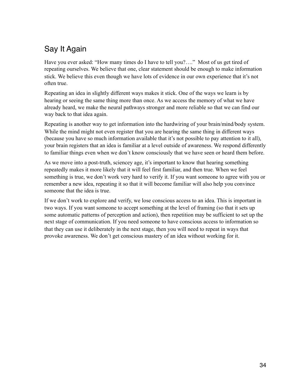## Say It Again

Have you ever asked: "How many times do I have to tell you?...." Most of us get tired of repeating ourselves. We believe that one, clear statement should be enough to make information stick. We believe this even though we have lots of evidence in our own experience that it's not often true.

Repeating an idea in slightly different ways makes it stick. One of the ways we learn is by hearing or seeing the same thing more than once. As we access the memory of what we have already heard, we make the neural pathways stronger and more reliable so that we can find our way back to that idea again.

Repeating is another way to get information into the hardwiring of your brain/mind/body system. While the mind might not even register that you are hearing the same thing in different ways (because you have so much information available that it's not possible to pay attention to it all), your brain registers that an idea is familiar at a level outside of awareness. We respond differently to familiar things even when we don't know consciously that we have seen or heard them before.

As we move into a post-truth, sciencey age, it's important to know that hearing something repeatedly makes it more likely that it will feel first familiar, and then true. When we feel something is true, we don't work very hard to verify it. If you want someone to agree with you or remember a new idea, repeating it so that it will become familiar will also help you convince someone that the idea is true.

If we don't work to explore and verify, we lose conscious access to an idea. This is important in two ways. If you want someone to accept something at the level of framing (so that it sets up some automatic patterns of perception and action), then repetition may be sufficient to set up the next stage of communication. If you need someone to have conscious access to information so that they can use it deliberately in the next stage, then you will need to repeat in ways that provoke awareness. We don't get conscious mastery of an idea without working for it.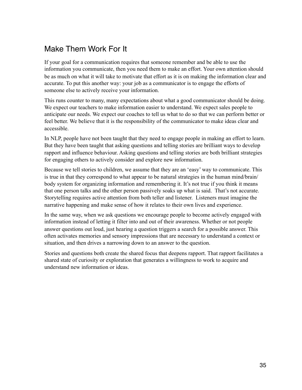## Make Them Work For It

If your goal for a communication requires that someone remember and be able to use the information you communicate, then you need them to make an effort. Your own attention should be as much on what it will take to motivate that effort as it is on making the information clear and accurate. To put this another way: your job as a communicator is to engage the efforts of someone else to actively receive your information.

This runs counter to many, many expectations about what a good communicator should be doing. We expect our teachers to make information easier to understand. We expect sales people to anticipate our needs. We expect our coaches to tell us what to do so that we can perform better or feel better. We believe that it is the responsibility of the communicator to make ideas clear and accessible.

In NLP, people have not been taught that they need to engage people in making an effort to learn. But they have been taught that asking questions and telling stories are brilliant ways to develop rapport and influence behaviour. Asking questions and telling stories are both brilliant strategies for engaging others to actively consider and explore new information.

Because we tell stories to children, we assume that they are an 'easy' way to communicate. This is true in that they correspond to what appear to be natural strategies in the human mind/brain/ body system for organizing information and remembering it. It's not true if you think it means that one person talks and the other person passively soaks up what is said. That's not accurate. Storytelling requires active attention from both teller and listener. Listeners must imagine the narrative happening and make sense of how it relates to their own lives and experience.

In the same way, when we ask questions we encourage people to become actively engaged with information instead of letting it filter into and out of their awareness. Whether or not people answer questions out loud, just hearing a question triggers a search for a possible answer. This often activates memories and sensory impressions that are necessary to understand a context or situation, and then drives a narrowing down to an answer to the question.

Stories and questions both create the shared focus that deepens rapport. That rapport facilitates a shared state of curiosity or exploration that generates a willingness to work to acquire and understand new information or ideas.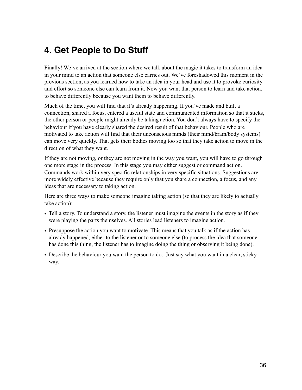## **4. Get People to Do Stuff**

Finally! We've arrived at the section where we talk about the magic it takes to transform an idea in your mind to an action that someone else carries out. We've foreshadowed this moment in the previous section, as you learned how to take an idea in your head and use it to provoke curiosity and effort so someone else can learn from it. Now you want that person to learn and take action, to behave differently because you want them to behave differently.

Much of the time, you will find that it's already happening. If you've made and built a connection, shared a focus, entered a useful state and communicated information so that it sticks, the other person or people might already be taking action. You don't always have to specify the behaviour if you have clearly shared the desired result of that behaviour. People who are motivated to take action will find that their unconscious minds (their mind/brain/body systems) can move very quickly. That gets their bodies moving too so that they take action to move in the direction of what they want.

If they are not moving, or they are not moving in the way you want, you will have to go through one more stage in the process. In this stage you may either suggest or command action. Commands work within very specific relationships in very specific situations. Suggestions are more widely effective because they require only that you share a connection, a focus, and any ideas that are necessary to taking action.

Here are three ways to make someone imagine taking action (so that they are likely to actually take action):

- Tell a story. To understand a story, the listener must imagine the events in the story as if they were playing the parts themselves. All stories lead listeners to imagine action.
- Presuppose the action you want to motivate. This means that you talk as if the action has already happened, either to the listener or to someone else (to process the idea that someone has done this thing, the listener has to imagine doing the thing or observing it being done).
- Describe the behaviour you want the person to do. Just say what you want in a clear, sticky way.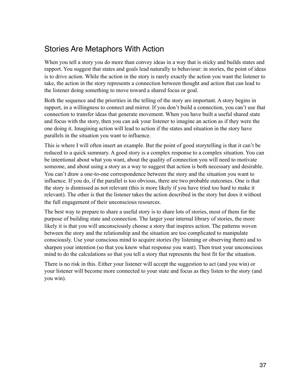#### Stories Are Metaphors With Action

When you tell a story you do more than convey ideas in a way that is sticky and builds states and rapport. You suggest that states and goals lead naturally to behaviour: in stories, the point of ideas is to drive action. While the action in the story is rarely exactly the action you want the listener to take, the action in the story represents a connection between thought and action that can lead to the listener doing something to move toward a shared focus or goal.

Both the sequence and the priorities in the telling of the story are important. A story begins in rapport, in a willingness to connect and mirror. If you don't build a connection, you can't use that connection to transfer ideas that generate movement. When you have built a useful shared state and focus with the story, then you can ask your listener to imagine an action as if they were the one doing it. Imagining action will lead to action if the states and situation in the story have parallels in the situation you want to influence.

This is where I will often insert an example. But the point of good storytelling is that it can't be reduced to a quick summary. A good story is a complex response to a complex situation. You can be intentional about what you want, about the quality of connection you will need to motivate someone, and about using a story as a way to suggest that action is both necessary and desirable. You can't draw a one-to-one correspondence between the story and the situation you want to influence. If you do, if the parallel is too obvious, there are two probable outcomes. One is that the story is dismissed as not relevant (this is more likely if you have tried too hard to make it relevant). The other is that the listener takes the action described in the story but does it without the full engagement of their unconscious resources.

The best way to prepare to share a useful story is to share lots of stories, most of them for the purpose of building state and connection. The larger your internal library of stories, the more likely it is that you will unconsciously choose a story that inspires action. The patterns woven between the story and the relationship and the situation are too complicated to manipulate consciously. Use your conscious mind to acquire stories (by listening or observing them) and to sharpen your intention (so that you know what response you want). Then trust your unconscious mind to do the calculations so that you tell a story that represents the best fit for the situation.

There is no risk in this. Either your listener will accept the suggestion to act (and you win) or your listener will become more connected to your state and focus as they listen to the story (and you win).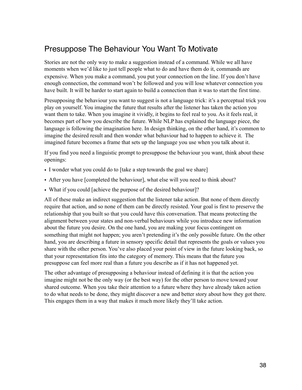#### Presuppose The Behaviour You Want To Motivate

Stories are not the only way to make a suggestion instead of a command. While we all have moments when we'd like to just tell people what to do and have them do it, commands are expensive. When you make a command, you put your connection on the line. If you don't have enough connection, the command won't be followed and you will lose whatever connection you have built. It will be harder to start again to build a connection than it was to start the first time.

Presupposing the behaviour you want to suggest is not a language trick: it's a perceptual trick you play on yourself. You imagine the future that results after the listener has taken the action you want them to take. When you imagine it vividly, it begins to feel real to you. As it feels real, it becomes part of how you describe the future. While NLP has explained the language piece, the language is following the imagination here. In design thinking, on the other hand, it's common to imagine the desired result and then wonder what behaviour had to happen to achieve it. The imagined future becomes a frame that sets up the language you use when you talk about it.

If you find you need a linguistic prompt to presuppose the behaviour you want, think about these openings:

- I wonder what you could do to [take a step towards the goal we share]
- After you have [completed the behaviour], what else will you need to think about?
- What if you could [achieve the purpose of the desired behaviour]?

All of these make an indirect suggestion that the listener take action. But none of them directly require that action, and so none of them can be directly resisted. Your goal is first to preserve the relationship that you built so that you could have this conversation. That means protecting the alignment between your states and non-verbal behaviours while you introduce new information about the future you desire. On the one hand, you are making your focus contingent on something that might not happen; you aren't pretending it's the only possible future. On the other hand, you are describing a future in sensory specific detail that represents the goals or values you share with the other person. You've also placed your point of view in the future looking back, so that your representation fits into the category of memory. This means that the future you presuppose can feel more real than a future you describe as if it has not happened yet.

The other advantage of presupposing a behaviour instead of defining it is that the action you imagine might not be the only way (or the best way) for the other person to move toward your shared outcome. When you take their attention to a future where they have already taken action to do what needs to be done, they might discover a new and better story about how they got there. This engages them in a way that makes it much more likely they'll take action.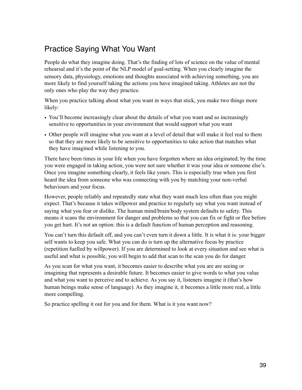#### Practice Saying What You Want

People do what they imagine doing. That's the finding of lots of science on the value of mental rehearsal and it's the point of the NLP model of goal-setting. When you clearly imagine the sensory data, physiology, emotions and thoughts associated with achieving something, you are more likely to find yourself taking the actions you have imagined taking. Athletes are not the only ones who play the way they practice.

When you practice talking about what you want in ways that stick, you make two things more likely:

- You'll become increasingly clear about the details of what you want and so increasingly sensitive to opportunities in your environment that would support what you want
- Other people will imagine what you want at a level of detail that will make it feel real to them so that they are more likely to be sensitive to opportunities to take action that matches what they have imagined while listening to you.

There have been times in your life when you have forgotten where an idea originated; by the time you were engaged in taking action, you were not sure whether it was your idea or someone else's. Once you imagine something clearly, it feels like yours. This is especially true when you first heard the idea from someone who was connecting with you by matching your non-verbal behaviours and your focus.

However, people reliably and repeatedly state what they want much less often than you might expect. That's because it takes willpower and practice to regularly say what you want instead of saying what you fear or dislike. The human mind/brain/body system defaults to safety. This means it scans the environment for danger and problems so that you can fix or fight or flee before you get hurt. It's not an option: this is a default function of human perception and reasoning.

You can't turn this default off, and you can't even turn it down a little. It is what it is: your bigger self wants to keep you safe. What you can do is turn up the alternative focus by practice (repetition fuelled by willpower). If you are determined to look at every situation and see what is useful and what is possible, you will begin to add that scan to the scan you do for danger.

As you scan for what you want, it becomes easier to describe what you are are seeing or imagining that represents a desirable future. It becomes easier to give words to what you value and what you want to perceive and to achieve. As you say it, listeners imagine it (that's how human beings make sense of language). As they imagine it, it becomes a little more real, a little more compelling.

So practice spelling it out for you and for them. What is it you want now?